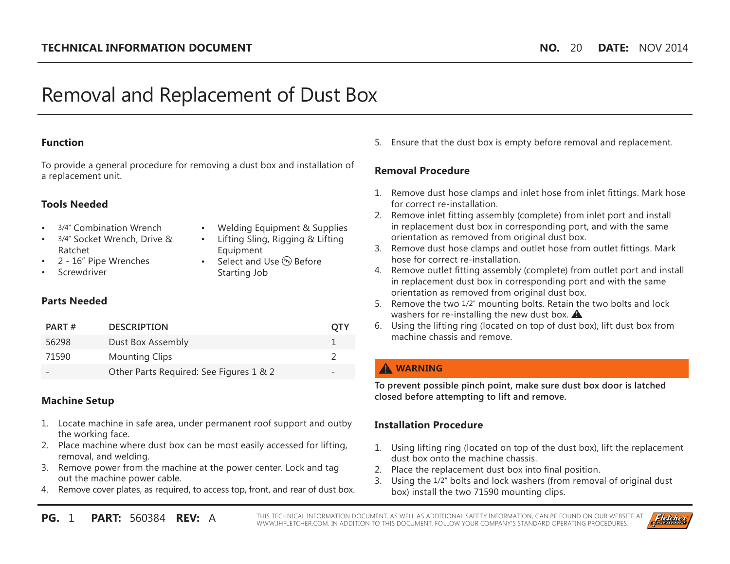# Removal and Replacement of Dust Box

#### **Function**

To provide a general procedure for removing a dust box and installation of a replacement unit.

#### **Tools Needed**

- 3/4" Combination Wrench
- 3/4" Socket Wrench, Drive & Ratchet
- 2 16" Pipe Wrenches
- **Screwdriver**
- Welding Equipment & Supplies
- Lifting Sling, Rigging & Lifting **Equipment**
- Select and Use (PPE) Before Starting Job

#### **Parts Needed**

| PART# | <b>DESCRIPTION</b>                      | OIY             |
|-------|-----------------------------------------|-----------------|
| 56298 | Dust Box Assembly                       |                 |
| 71590 | <b>Mounting Clips</b>                   |                 |
|       | Other Parts Required: See Figures 1 & 2 | $\qquad \qquad$ |

## **Machine Setup**

- 1. Locate machine in safe area, under permanent roof support and outby the working face.
- 2. Place machine where dust box can be most easily accessed for lifting, removal, and welding.
- 3. Remove power from the machine at the power center. Lock and tag out the machine power cable.
- 4. Remove cover plates, as required, to access top, front, and rear of dust box.

5. Ensure that the dust box is empty before removal and replacement.

# **Removal Procedure**

- 1. Remove dust hose clamps and inlet hose from inlet fittings. Mark hose for correct re-installation.
- 2. Remove inlet fitting assembly (complete) from inlet port and install in replacement dust box in corresponding port, and with the same orientation as removed from original dust box.
- 3. Remove dust hose clamps and outlet hose from outlet fittings. Mark hose for correct re-installation.
- 4. Remove outlet fitting assembly (complete) from outlet port and install in replacement dust box in corresponding port and with the same orientation as removed from original dust box.
- 5. Remove the two 1/2" mounting bolts. Retain the two bolts and lock washers for re-installing the new dust box.  $\triangle$
- 6. Using the lifting ring (located on top of dust box), lift dust box from machine chassis and remove.

# **WARNING**

**To prevent possible pinch point, make sure dust box door is latched closed before attempting to lift and remove.**

# **Installation Procedure**

- 1. Using lifting ring (located on top of the dust box), lift the replacement dust box onto the machine chassis.
- 2. Place the replacement dust box into final position.
- 3. Using the 1/2" bolts and lock washers (from removal of original dust box) install the two 71590 mounting clips.

**PG.** 1 **PART:** 560384 **REV:** A THIS TECHNICAL INFORMATION DOCUMENT, AS WELL AS ADDITIONAL SAFETY INFORMATION, CAN BE FOUND ON OUR WEBSITE AT WWW.JHFLETCHER.COM. IN ADDITION TO THIS DOCUMENT, FOLLOW YOUR COMPANY'S STANDARD OPERATING PROCEDURES.

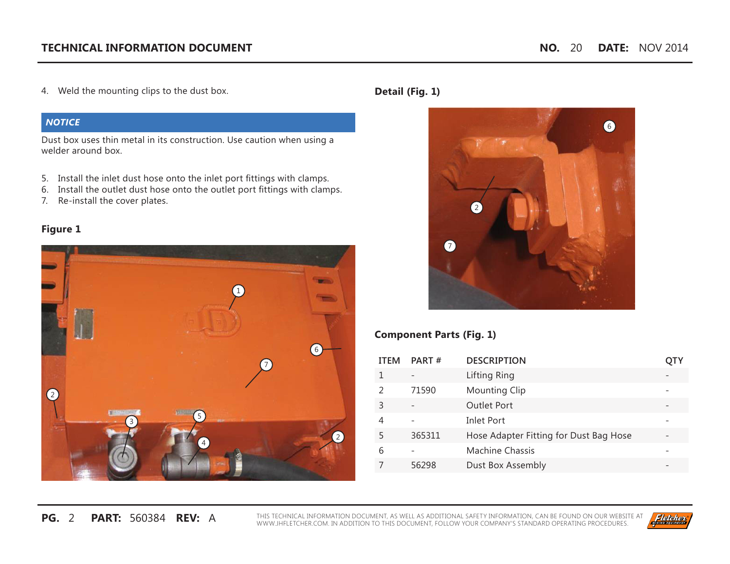4. Weld the mounting clips to the dust box.

#### *NOTICE*

Dust box uses thin metal in its construction. Use caution when using a welder around box.

- 5. Install the inlet dust hose onto the inlet port fittings with clamps.
- 6. Install the outlet dust hose onto the outlet port fittings with clamps.
- 7. Re-install the cover plates.

## **Figure 1**



# **Detail (Fig. 1)**



## **Component Parts (Fig. 1)**

| <b>ITEM</b> | PART#  | <b>DESCRIPTION</b>                     |  |
|-------------|--------|----------------------------------------|--|
|             |        | Lifting Ring                           |  |
|             | 71590  | <b>Mounting Clip</b>                   |  |
| 3           |        | <b>Outlet Port</b>                     |  |
|             |        | <b>Inlet Port</b>                      |  |
| 5           | 365311 | Hose Adapter Fitting for Dust Bag Hose |  |
| 6           |        | <b>Machine Chassis</b>                 |  |
|             | 56298  | Dust Box Assembly                      |  |

**PG.** 2 **PART:** 560384 **REV:** A THIS TECHNICAL INFORMATION DOCUMENT, AS WELL AS ADDITIONAL SAFETY INFORMATION, CAN BE FOUND ON OUR WEBSITE AT WWW.JHFLETCHER.COM. IN ADDITION TO THIS DOCUMENT, FOLLOW YOUR COMPANY'S STANDARD OPERATING PROCEDURES.